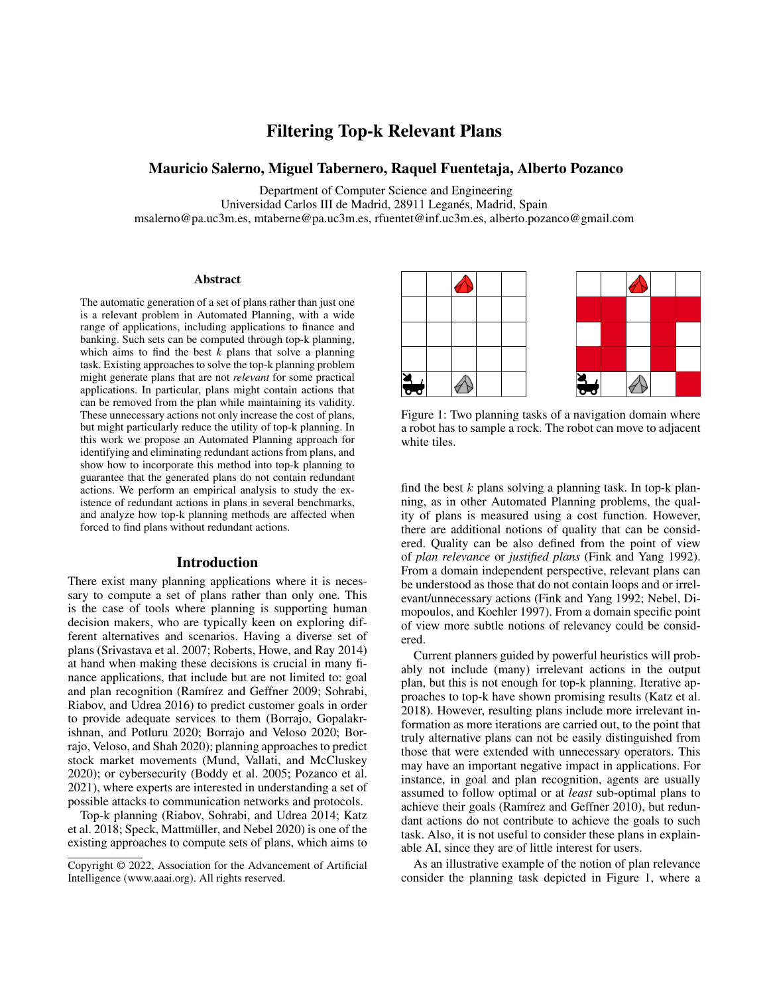# Filtering Top-k Relevant Plans

## Mauricio Salerno, Miguel Tabernero, Raquel Fuentetaja, Alberto Pozanco

Department of Computer Science and Engineering Universidad Carlos III de Madrid, 28911 Leganes, Madrid, Spain ´

msalerno@pa.uc3m.es, mtaberne@pa.uc3m.es, rfuentet@inf.uc3m.es, alberto.pozanco@gmail.com

#### Abstract

The automatic generation of a set of plans rather than just one is a relevant problem in Automated Planning, with a wide range of applications, including applications to finance and banking. Such sets can be computed through top-k planning, which aims to find the best  $\overline{k}$  plans that solve a planning task. Existing approaches to solve the top-k planning problem might generate plans that are not *relevant* for some practical applications. In particular, plans might contain actions that can be removed from the plan while maintaining its validity. These unnecessary actions not only increase the cost of plans, but might particularly reduce the utility of top-k planning. In this work we propose an Automated Planning approach for identifying and eliminating redundant actions from plans, and show how to incorporate this method into top-k planning to guarantee that the generated plans do not contain redundant actions. We perform an empirical analysis to study the existence of redundant actions in plans in several benchmarks, and analyze how top-k planning methods are affected when forced to find plans without redundant actions.

### Introduction

There exist many planning applications where it is necessary to compute a set of plans rather than only one. This is the case of tools where planning is supporting human decision makers, who are typically keen on exploring different alternatives and scenarios. Having a diverse set of plans (Srivastava et al. 2007; Roberts, Howe, and Ray 2014) at hand when making these decisions is crucial in many finance applications, that include but are not limited to: goal and plan recognition (Ramírez and Geffner 2009; Sohrabi, Riabov, and Udrea 2016) to predict customer goals in order to provide adequate services to them (Borrajo, Gopalakrishnan, and Potluru 2020; Borrajo and Veloso 2020; Borrajo, Veloso, and Shah 2020); planning approaches to predict stock market movements (Mund, Vallati, and McCluskey 2020); or cybersecurity (Boddy et al. 2005; Pozanco et al. 2021), where experts are interested in understanding a set of possible attacks to communication networks and protocols.

Top-k planning (Riabov, Sohrabi, and Udrea 2014; Katz et al. 2018; Speck, Mattmüller, and Nebel 2020) is one of the existing approaches to compute sets of plans, which aims to



Figure 1: Two planning tasks of a navigation domain where a robot has to sample a rock. The robot can move to adjacent white tiles.

find the best  $k$  plans solving a planning task. In top-k planning, as in other Automated Planning problems, the quality of plans is measured using a cost function. However, there are additional notions of quality that can be considered. Quality can be also defined from the point of view of *plan relevance* or *justified plans* (Fink and Yang 1992). From a domain independent perspective, relevant plans can be understood as those that do not contain loops and or irrelevant/unnecessary actions (Fink and Yang 1992; Nebel, Dimopoulos, and Koehler 1997). From a domain specific point of view more subtle notions of relevancy could be considered.

Current planners guided by powerful heuristics will probably not include (many) irrelevant actions in the output plan, but this is not enough for top-k planning. Iterative approaches to top-k have shown promising results (Katz et al. 2018). However, resulting plans include more irrelevant information as more iterations are carried out, to the point that truly alternative plans can not be easily distinguished from those that were extended with unnecessary operators. This may have an important negative impact in applications. For instance, in goal and plan recognition, agents are usually assumed to follow optimal or at *least* sub-optimal plans to achieve their goals (Ramírez and Geffner 2010), but redundant actions do not contribute to achieve the goals to such task. Also, it is not useful to consider these plans in explainable AI, since they are of little interest for users.

As an illustrative example of the notion of plan relevance consider the planning task depicted in Figure 1, where a

Copyright © 2022, Association for the Advancement of Artificial Intelligence (www.aaai.org). All rights reserved.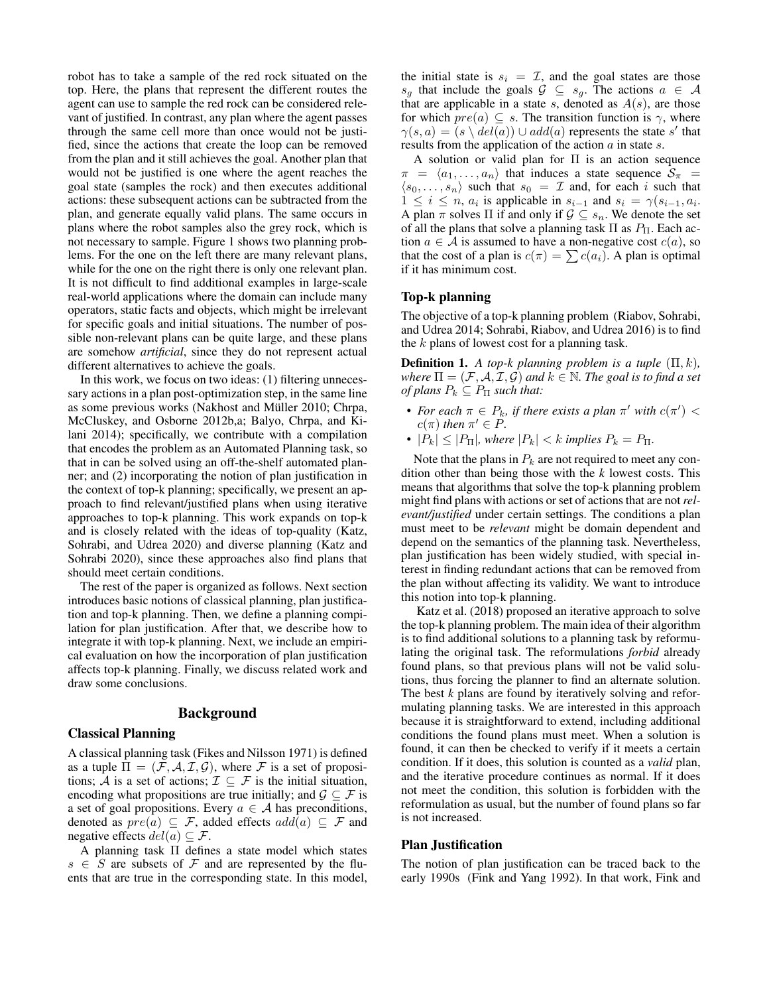robot has to take a sample of the red rock situated on the top. Here, the plans that represent the different routes the agent can use to sample the red rock can be considered relevant of justified. In contrast, any plan where the agent passes through the same cell more than once would not be justified, since the actions that create the loop can be removed from the plan and it still achieves the goal. Another plan that would not be justified is one where the agent reaches the goal state (samples the rock) and then executes additional actions: these subsequent actions can be subtracted from the plan, and generate equally valid plans. The same occurs in plans where the robot samples also the grey rock, which is not necessary to sample. Figure 1 shows two planning problems. For the one on the left there are many relevant plans, while for the one on the right there is only one relevant plan. It is not difficult to find additional examples in large-scale real-world applications where the domain can include many operators, static facts and objects, which might be irrelevant for specific goals and initial situations. The number of possible non-relevant plans can be quite large, and these plans are somehow *artificial*, since they do not represent actual different alternatives to achieve the goals.

In this work, we focus on two ideas: (1) filtering unnecessary actions in a plan post-optimization step, in the same line as some previous works (Nakhost and Müller 2010; Chrpa, McCluskey, and Osborne 2012b,a; Balyo, Chrpa, and Kilani 2014); specifically, we contribute with a compilation that encodes the problem as an Automated Planning task, so that in can be solved using an off-the-shelf automated planner; and (2) incorporating the notion of plan justification in the context of top-k planning; specifically, we present an approach to find relevant/justified plans when using iterative approaches to top-k planning. This work expands on top-k and is closely related with the ideas of top-quality (Katz, Sohrabi, and Udrea 2020) and diverse planning (Katz and Sohrabi 2020), since these approaches also find plans that should meet certain conditions.

The rest of the paper is organized as follows. Next section introduces basic notions of classical planning, plan justification and top-k planning. Then, we define a planning compilation for plan justification. After that, we describe how to integrate it with top-k planning. Next, we include an empirical evaluation on how the incorporation of plan justification affects top-k planning. Finally, we discuss related work and draw some conclusions.

### Background

### Classical Planning

A classical planning task (Fikes and Nilsson 1971) is defined as a tuple  $\Pi = (\mathcal{F}, \mathcal{A}, \mathcal{I}, \mathcal{G})$ , where  $\mathcal F$  is a set of propositions;  $\overline{A}$  is a set of actions;  $\mathcal{I} \subseteq \mathcal{F}$  is the initial situation, encoding what propositions are true initially; and  $\mathcal{G} \subseteq \mathcal{F}$  is a set of goal propositions. Every  $a \in A$  has preconditions, denoted as  $pre(a) \subseteq \mathcal{F}$ , added effects  $add(a) \subseteq \mathcal{F}$  and negative effects  $del(a) \subseteq \mathcal{F}$ .

A planning task Π defines a state model which states  $s \in S$  are subsets of F and are represented by the fluents that are true in the corresponding state. In this model, the initial state is  $s_i = \mathcal{I}$ , and the goal states are those  $s_g$  that include the goals  $\mathcal{G} \subseteq s_g$ . The actions  $a \in \mathcal{A}$ that are applicable in a state s, denoted as  $A(s)$ , are those for which  $pre(a) \subseteq s$ . The transition function is  $\gamma$ , where  $\gamma(s,a) = (s \setminus \text{del}(a)) \cup \text{add}(a)$  represents the state s' that results from the application of the action a in state s.

A solution or valid plan for Π is an action sequence  $\pi = \langle a_1, \ldots, a_n \rangle$  that induces a state sequence  $\overline{S}_{\pi}$  =  $\langle s_0, \ldots, s_n \rangle$  such that  $s_0 = \mathcal{I}$  and, for each i such that  $1 \leq i \leq n$ ,  $a_i$  is applicable in  $s_{i-1}$  and  $s_i = \gamma(s_{i-1}, a_i)$ . A plan  $\pi$  solves  $\Pi$  if and only if  $\mathcal{G} \subseteq s_n$ . We denote the set of all the plans that solve a planning task  $\Pi$  as  $P_{\Pi}$ . Each action  $a \in A$  is assumed to have a non-negative cost  $c(a)$ , so that the cost of a plan is  $c(\pi) = \sum c(a_i)$ . A plan is optimal if it has minimum cost.

#### Top-k planning

The objective of a top-k planning problem (Riabov, Sohrabi, and Udrea 2014; Sohrabi, Riabov, and Udrea 2016) is to find the  $k$  plans of lowest cost for a planning task.

**Definition 1.** A top-k planning problem is a tuple  $(\Pi, k)$ , *where*  $\Pi = (\mathcal{F}, \mathcal{A}, \mathcal{I}, \mathcal{G})$  *and*  $k \in \mathbb{N}$ *. The goal is to find a set of plans*  $P_k \subseteq P_\Pi$  *such that:* 

- For each  $\pi \in P_k$ , if there exists a plan  $\pi'$  with  $c(\pi') <$  $c(\pi)$  *then*  $\pi' \in P$ *.*
- $|P_k| \leq |P_{\Pi}|$ , where  $|P_k| < k$  *implies*  $P_k = P_{\Pi}$ .

Note that the plans in  $P_k$  are not required to meet any condition other than being those with the *k* lowest costs. This means that algorithms that solve the top-k planning problem might find plans with actions or set of actions that are not*relevant/justified* under certain settings. The conditions a plan must meet to be *relevant* might be domain dependent and depend on the semantics of the planning task. Nevertheless, plan justification has been widely studied, with special interest in finding redundant actions that can be removed from the plan without affecting its validity. We want to introduce this notion into top-k planning.

Katz et al. (2018) proposed an iterative approach to solve the top-k planning problem. The main idea of their algorithm is to find additional solutions to a planning task by reformulating the original task. The reformulations *forbid* already found plans, so that previous plans will not be valid solutions, thus forcing the planner to find an alternate solution. The best *k* plans are found by iteratively solving and reformulating planning tasks. We are interested in this approach because it is straightforward to extend, including additional conditions the found plans must meet. When a solution is found, it can then be checked to verify if it meets a certain condition. If it does, this solution is counted as a *valid* plan, and the iterative procedure continues as normal. If it does not meet the condition, this solution is forbidden with the reformulation as usual, but the number of found plans so far is not increased.

#### Plan Justification

The notion of plan justification can be traced back to the early 1990s (Fink and Yang 1992). In that work, Fink and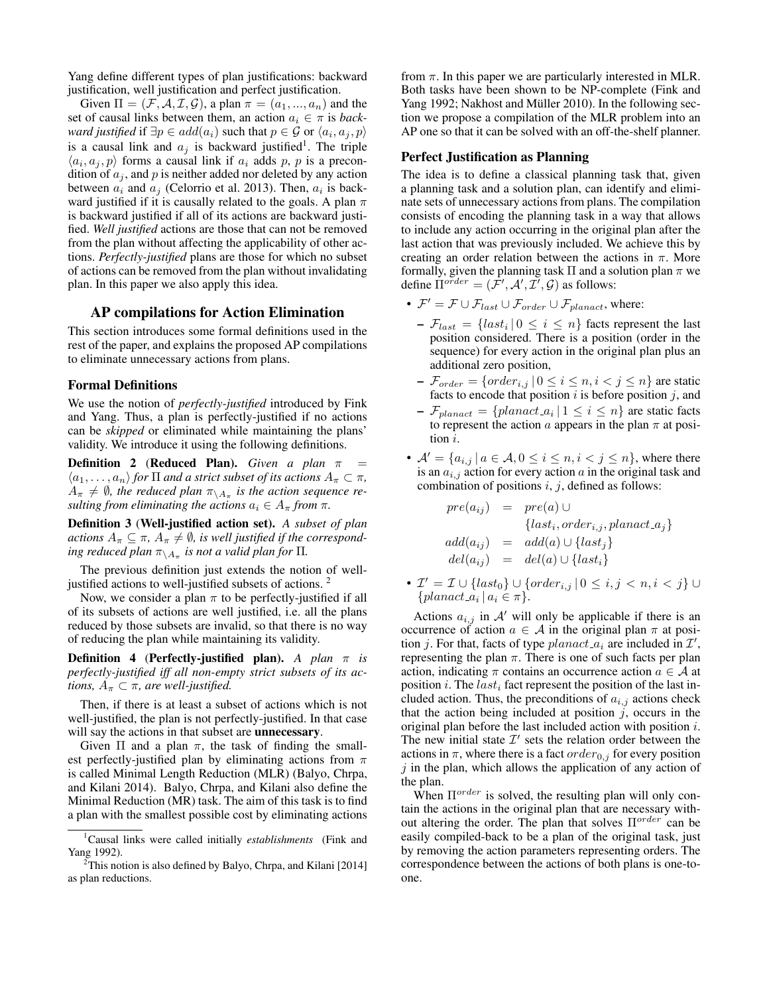Yang define different types of plan justifications: backward justification, well justification and perfect justification.

Given  $\Pi = (\mathcal{F}, \mathcal{A}, \mathcal{I}, \mathcal{G})$ , a plan  $\pi = (a_1, ..., a_n)$  and the set of causal links between them, an action  $a_i \in \pi$  is *backward justified* if  $\exists p \in add(a_i)$  such that  $p \in \mathcal{G}$  or  $\langle a_i, a_j, p \rangle$ is a causal link and  $a_j$  is backward justified<sup>1</sup>. The triple  $\langle a_i, a_j, p \rangle$  forms a causal link if  $a_i$  adds p, p is a precondition of  $a_i$ , and p is neither added nor deleted by any action between  $a_i$  and  $a_j$  (Celorrio et al. 2013). Then,  $a_i$  is backward justified if it is causally related to the goals. A plan  $\pi$ is backward justified if all of its actions are backward justified. *Well justified* actions are those that can not be removed from the plan without affecting the applicability of other actions. *Perfectly-justified* plans are those for which no subset of actions can be removed from the plan without invalidating plan. In this paper we also apply this idea.

### AP compilations for Action Elimination

This section introduces some formal definitions used in the rest of the paper, and explains the proposed AP compilations to eliminate unnecessary actions from plans.

#### Formal Definitions

We use the notion of *perfectly-justified* introduced by Fink and Yang. Thus, a plan is perfectly-justified if no actions can be *skipped* or eliminated while maintaining the plans' validity. We introduce it using the following definitions.

**Definition 2 (Reduced Plan).** *Given a plan*  $\pi$  $\langle a_1, \ldots, a_n \rangle$  *for*  $\Pi$  *and a strict subset of its actions*  $A_{\pi} \subset \pi$ *,*  $A_{\pi} \neq \emptyset$ , the reduced plan  $\pi_{\setminus A_{\pi}}$  is the action sequence re*sulting from eliminating the actions*  $a_i \in A_\pi$  *from*  $\pi$ *.* 

Definition 3 (Well-justified action set). *A subset of plan actions*  $A_{\pi} \subseteq \pi$ ,  $A_{\pi} \neq \emptyset$ , *is well justified if the correspond* $i$ ng reduced plan  $\pi_{\setminus A_\pi}$  is not a valid plan for  $\Pi.$ 

The previous definition just extends the notion of welljustified actions to well-justified subsets of actions.<sup>2</sup>

Now, we consider a plan  $\pi$  to be perfectly-justified if all of its subsets of actions are well justified, i.e. all the plans reduced by those subsets are invalid, so that there is no way of reducing the plan while maintaining its validity.

Definition 4 (Perfectly-justified plan). *A plan* π *is perfectly-justified iff all non-empty strict subsets of its actions,*  $A_{\pi} \subset \pi$ *, are well-justified.* 

Then, if there is at least a subset of actions which is not well-justified, the plan is not perfectly-justified. In that case will say the actions in that subset are **unnecessary**.

Given  $\Pi$  and a plan  $\pi$ , the task of finding the smallest perfectly-justified plan by eliminating actions from  $\pi$ is called Minimal Length Reduction (MLR) (Balyo, Chrpa, and Kilani 2014). Balyo, Chrpa, and Kilani also define the Minimal Reduction (MR) task. The aim of this task is to find a plan with the smallest possible cost by eliminating actions

from  $\pi$ . In this paper we are particularly interested in MLR. Both tasks have been shown to be NP-complete (Fink and Yang 1992; Nakhost and Müller 2010). In the following section we propose a compilation of the MLR problem into an AP one so that it can be solved with an off-the-shelf planner.

#### Perfect Justification as Planning

The idea is to define a classical planning task that, given a planning task and a solution plan, can identify and eliminate sets of unnecessary actions from plans. The compilation consists of encoding the planning task in a way that allows to include any action occurring in the original plan after the last action that was previously included. We achieve this by creating an order relation between the actions in  $\pi$ . More formally, given the planning task  $\Pi$  and a solution plan  $\pi$  we define  $\overline{\Pi}^{order} = (\overline{\mathcal{F}}', \mathcal{A}', \overline{\mathcal{I}'}, \mathcal{G})$  as follows:

- $\mathcal{F}' = \mathcal{F} \cup \mathcal{F}_{last} \cup \mathcal{F}_{order} \cup \mathcal{F}_{planact}$ , where:
	- $-\mathcal{F}_{last} = \{last_i | 0 \leq i \leq n\}$  facts represent the last position considered. There is a position (order in the sequence) for every action in the original plan plus an additional zero position,
	- $\mathcal{F}_{order} = \{order_{i,j} | 0 \le i \le n, i < j \le n\}$  are static facts to encode that position  $i$  is before position  $j$ , and
	- $\mathcal{F}_{planact} = \{planact_a | 1 \leq i \leq n\}$  are static facts to represent the action  $a$  appears in the plan  $\pi$  at position i.
- $A' = \{a_{i,j} \mid a \in A, 0 \le i \le n, i < j \le n\}$ , where there is an  $a_{i,j}$  action for every action a in the original task and combination of positions  $i, j$ , defined as follows:

 $pre(a_{ij}) = pre(a) \cup$  ${last<sub>i</sub>, order<sub>i,j</sub>,planet_a}$  $add(a_{ij}) = add(a) \cup \{last_j\}$  $del(a_{ij}) = del(a) \cup \{last_i\}$ 

•  $\mathcal{I}' = \mathcal{I} \cup \{ \text{last}_0 \} \cup \{ \text{order}_{i,j} \mid 0 \leq i,j \leq n, i < j \} \cup$  $\{planact_a | a_i \in \pi\}.$ 

Actions  $a_{i,j}$  in A' will only be applicable if there is an occurrence of action  $a \in \mathcal{A}$  in the original plan  $\pi$  at position j. For that, facts of type  $planact_{ai}$  are included in  $\mathcal{I}',$ representing the plan  $\pi$ . There is one of such facts per plan action, indicating  $\pi$  contains an occurrence action  $a \in \mathcal{A}$  at position i. The  $last_i$  fact represent the position of the last included action. Thus, the preconditions of  $a_{i,j}$  actions check that the action being included at position  $j$ , occurs in the original plan before the last included action with position i. The new initial state  $\mathcal{I}'$  sets the relation order between the actions in  $\pi$ , where there is a fact order<sub>0,j</sub> for every position  $j$  in the plan, which allows the application of any action of the plan.

When  $\Pi^{order}$  is solved, the resulting plan will only contain the actions in the original plan that are necessary without altering the order. The plan that solves  $\Pi^{order}$  can be easily compiled-back to be a plan of the original task, just by removing the action parameters representing orders. The correspondence between the actions of both plans is one-toone.

<sup>1</sup>Causal links were called initially *establishments* (Fink and Yang 1992).

 $2$ This notion is also defined by Balyo, Chrpa, and Kilani [2014] as plan reductions.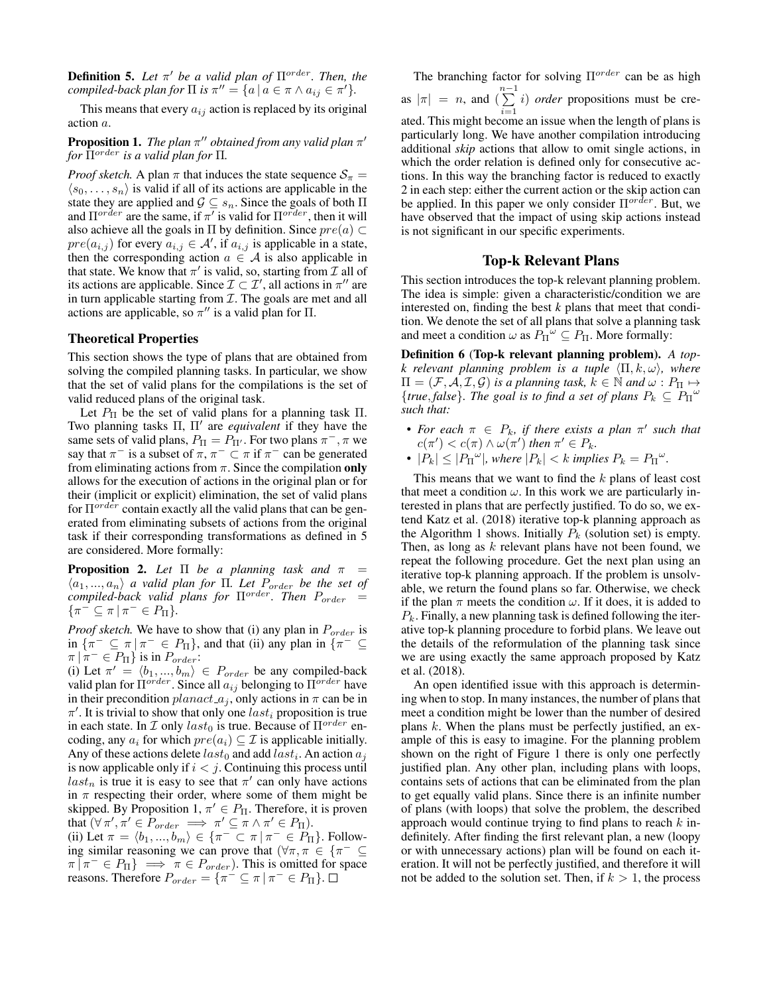**Definition 5.** Let  $\pi'$  be a valid plan of  $\Pi^{order}$ . Then, the *compiled-back plan for*  $\Pi$  *is*  $\pi'' = \{a \mid a \in \pi \land a_{ij} \in \pi'\}.$ 

This means that every  $a_{ij}$  action is replaced by its original action a.

### **Proposition 1.** The plan  $\pi''$  obtained from any valid plan  $\pi'$ *for*  $\overline{\Pi}^{order}$  *is a valid plan for*  $\Pi$ *.*

*Proof sketch.* A plan  $\pi$  that induces the state sequence  $S_{\pi}$  =  $\langle s_0, \ldots, s_n \rangle$  is valid if all of its actions are applicable in the state they are applied and  $\mathcal{G} \subseteq s_n$ . Since the goals of both  $\Pi$ and  $\Pi^{order}$  are the same, if  $\pi'$  is valid for  $\Pi^{order}$ , then it will also achieve all the goals in  $\Pi$  by definition. Since  $pre(a) \subset$  $pre(a_{i,j})$  for every  $a_{i,j} \in \mathcal{A}'$ , if  $a_{i,j}$  is applicable in a state, then the corresponding action  $a \in \mathcal{A}$  is also applicable in that state. We know that  $\pi'$  is valid, so, starting from  $\mathcal I$  all of its actions are applicable. Since  $\mathcal{I} \subset \mathcal{I}'$ , all actions in  $\pi''$  are in turn applicable starting from  $\mathcal I.$  The goals are met and all actions are applicable, so  $\pi''$  is a valid plan for  $\Pi$ .

### Theoretical Properties

This section shows the type of plans that are obtained from solving the compiled planning tasks. In particular, we show that the set of valid plans for the compilations is the set of valid reduced plans of the original task.

Let  $P_{\Pi}$  be the set of valid plans for a planning task  $\Pi$ . Two planning tasks Π, Π′ are *equivalent* if they have the same sets of valid plans,  $P_{\Pi} = P_{\Pi'}$ . For two plans  $\pi^-$ ,  $\pi$  we say that  $\pi^-$  is a subset of  $\pi$ ,  $\pi^- \subset \pi$  if  $\pi^-$  can be generated from eliminating actions from  $\pi$ . Since the compilation only allows for the execution of actions in the original plan or for their (implicit or explicit) elimination, the set of valid plans for  $\Pi^{order}$  contain exactly all the valid plans that can be generated from eliminating subsets of actions from the original task if their corresponding transformations as defined in 5 are considered. More formally:

**Proposition 2.** Let  $\Pi$  be a planning task and  $\pi$  =  $\langle a_1, ..., a_n \rangle$  *a valid plan for*  $\Pi$ . Let  $P_{order}$  be the set of *compiled-back valid plans for* Πorder*. Then* Porder =  $\{\pi^{-} \subseteq \pi \mid \pi^{-} \in P_{\Pi}\}.$ 

*Proof sketch.* We have to show that (i) any plan in  $P_{order}$  is in  $\{\pi^{-} \subseteq \pi \mid \pi^{-} \in P_{\Pi}\}\$ , and that (ii) any plan in  $\{\pi^{-} \subseteq$  $\pi | \pi^- \in P_{\Pi}$  is in  $P_{order}$ :

(i) Let  $\pi' = \langle b_1, ..., b_m \rangle \in P_{order}$  be any compiled-back valid plan for  $\Pi^{order}$ . Since all  $a_{ij}$  belonging to  $\Pi^{order}$  have in their precondition  $planact_{a_j}$ , only actions in  $\pi$  can be in  $\pi'$ . It is trivial to show that only one last<sub>i</sub> proposition is true in each state. In  $\mathcal I$  only  $last_0$  is true. Because of  $\Pi^{order}$  encoding, any  $a_i$  for which  $pre(a_i) \subseteq \mathcal{I}$  is applicable initially. Any of these actions delete  $last_0$  and add  $last_i$ . An action  $a_j$ is now applicable only if  $i < j$ . Continuing this process until  $last_n$  is true it is easy to see that  $\pi'$  can only have actions in  $\pi$  respecting their order, where some of them might be skipped. By Proposition 1,  $\pi' \in P_{\Pi}$ . Therefore, it is proven that  $(\forall \pi', \pi' \in \tilde{P}_{order} \implies \pi' \subseteq \pi \wedge \pi' \in P_{\Pi}).$ 

(ii) Let  $\pi = \langle b_1, ..., b_m \rangle \in \{ \pi^- \subset \pi \mid \pi^- \in P_{\Pi} \}.$  Following similar reasoning we can prove that  $(\forall \pi, \pi \in {\pi^- \subseteq \mathbb{R}^+})$  $\pi \overline{\mid} \pi^- \in P_{\Pi} \} \implies \pi \in P_{order}$ ). This is omitted for space reasons. Therefore  $P_{order} = {\pi^{-} \subseteq \pi | \pi^{-} \in P_{II}}$ .

The branching factor for solving  $\Pi^{order}$  can be as high as  $|\pi| = n$ , and  $\left(\sum^{n-1} \right)$  $\sum_{i=1}^{n} i$  *order* propositions must be created. This might become an issue when the length of plans is particularly long. We have another compilation introducing additional *skip* actions that allow to omit single actions, in which the order relation is defined only for consecutive actions. In this way the branching factor is reduced to exactly 2 in each step: either the current action or the skip action can be applied. In this paper we only consider  $\Pi^{order}$ . But, we have observed that the impact of using skip actions instead is not significant in our specific experiments.

#### Top-k Relevant Plans

This section introduces the top-k relevant planning problem. The idea is simple: given a characteristic/condition we are interested on, finding the best *k* plans that meet that condition. We denote the set of all plans that solve a planning task and meet a condition  $\omega$  as  $P_{\Pi}^{\mathcal{L}} \subseteq P_{\Pi}$ . More formally:

Definition 6 (Top-k relevant planning problem). *A topk relevant planning problem is a tuple* ⟨Π, k, ω⟩*, where*  $\Pi = (\mathcal{F}, \mathcal{A}, \mathcal{I}, \mathcal{G})$  *is a planning task,*  $k \in \mathbb{N}$  *and*  $\omega : P_{\Pi} \mapsto$  ${true, false}$ *. The goal is to find a set of plans*  $P_k \subseteq P_{\Pi}^{\omega}$ *such that:*

- For each  $\pi \in P_k$ , if there exists a plan  $\pi'$  such that  $c(\pi') < c(\pi) \wedge \omega(\pi')$  then  $\pi' \in P_k$ .
- $|P_k| \leq |P_{\Pi}^{\omega}|$ , where  $|P_k| < k$  implies  $P_k = P_{\Pi}^{\omega}$ .

This means that we want to find the  $k$  plans of least cost that meet a condition  $\omega$ . In this work we are particularly interested in plans that are perfectly justified. To do so, we extend Katz et al. (2018) iterative top-k planning approach as the Algorithm 1 shows. Initially  $P_k$  (solution set) is empty. Then, as long as  $k$  relevant plans have not been found, we repeat the following procedure. Get the next plan using an iterative top-k planning approach. If the problem is unsolvable, we return the found plans so far. Otherwise, we check if the plan  $\pi$  meets the condition  $\omega$ . If it does, it is added to  $P_k$ . Finally, a new planning task is defined following the iterative top-k planning procedure to forbid plans. We leave out the details of the reformulation of the planning task since we are using exactly the same approach proposed by Katz et al. (2018).

An open identified issue with this approach is determining when to stop. In many instances, the number of plans that meet a condition might be lower than the number of desired plans  $k$ . When the plans must be perfectly justified, an example of this is easy to imagine. For the planning problem shown on the right of Figure 1 there is only one perfectly justified plan. Any other plan, including plans with loops, contains sets of actions that can be eliminated from the plan to get equally valid plans. Since there is an infinite number of plans (with loops) that solve the problem, the described approach would continue trying to find plans to reach  $k$  indefinitely. After finding the first relevant plan, a new (loopy or with unnecessary actions) plan will be found on each iteration. It will not be perfectly justified, and therefore it will not be added to the solution set. Then, if  $k > 1$ , the process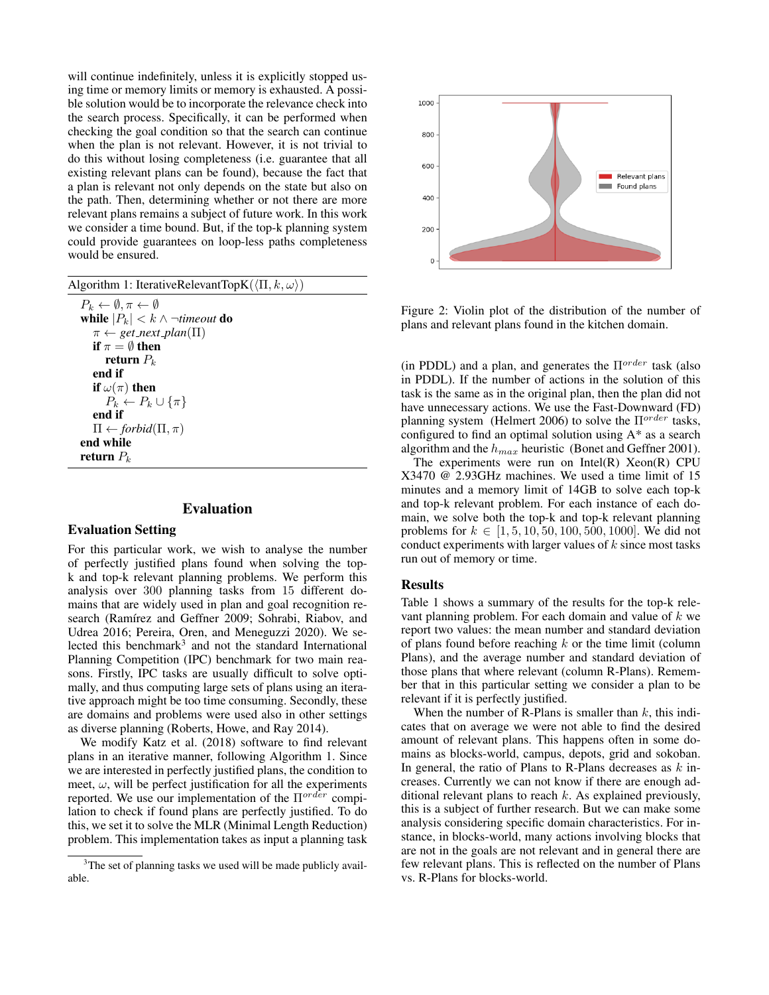will continue indefinitely, unless it is explicitly stopped using time or memory limits or memory is exhausted. A possible solution would be to incorporate the relevance check into the search process. Specifically, it can be performed when checking the goal condition so that the search can continue when the plan is not relevant. However, it is not trivial to do this without losing completeness (i.e. guarantee that all existing relevant plans can be found), because the fact that a plan is relevant not only depends on the state but also on the path. Then, determining whether or not there are more relevant plans remains a subject of future work. In this work we consider a time bound. But, if the top-k planning system could provide guarantees on loop-less paths completeness would be ensured.

|  |  | Algorithm 1: IterativeRelevantTopK( $\langle \Pi, k, \omega \rangle$ ) |  |  |  |  |  |  |
|--|--|------------------------------------------------------------------------|--|--|--|--|--|--|
|--|--|------------------------------------------------------------------------|--|--|--|--|--|--|

 $P_k \leftarrow \emptyset, \pi \leftarrow \emptyset$ while  $|P_k| < k \wedge \neg$ *timeout* do  $\pi \leftarrow get\_next\_plan(\Pi)$ if  $\pi = \emptyset$  then return  $P_k$ end if if  $\omega(\pi)$  then  $P_k \leftarrow P_k \cup {\pi}$ end if  $\Pi \leftarrow$  *forbid* $(\Pi, \pi)$ end while return  $P_k$ 

#### Evaluation

#### Evaluation Setting

For this particular work, we wish to analyse the number of perfectly justified plans found when solving the topk and top-k relevant planning problems. We perform this analysis over 300 planning tasks from 15 different domains that are widely used in plan and goal recognition research (Ramírez and Geffner 2009; Sohrabi, Riabov, and Udrea 2016; Pereira, Oren, and Meneguzzi 2020). We selected this benchmark<sup>3</sup> and not the standard International Planning Competition (IPC) benchmark for two main reasons. Firstly, IPC tasks are usually difficult to solve optimally, and thus computing large sets of plans using an iterative approach might be too time consuming. Secondly, these are domains and problems were used also in other settings as diverse planning (Roberts, Howe, and Ray 2014).

We modify Katz et al. (2018) software to find relevant plans in an iterative manner, following Algorithm 1. Since we are interested in perfectly justified plans, the condition to meet,  $\omega$ , will be perfect justification for all the experiments reported. We use our implementation of the  $\Pi^{ord\acute{e}r}$  compilation to check if found plans are perfectly justified. To do this, we set it to solve the MLR (Minimal Length Reduction) problem. This implementation takes as input a planning task



Figure 2: Violin plot of the distribution of the number of plans and relevant plans found in the kitchen domain.

(in PDDL) and a plan, and generates the  $\Pi^{order}$  task (also in PDDL). If the number of actions in the solution of this task is the same as in the original plan, then the plan did not have unnecessary actions. We use the Fast-Downward (FD) planning system (Helmert 2006) to solve the  $\Pi^{order}$  tasks, configured to find an optimal solution using A\* as a search algorithm and the  $h_{max}$  heuristic (Bonet and Geffner 2001).

The experiments were run on Intel(R) Xeon(R) CPU X3470 @ 2.93GHz machines. We used a time limit of 15 minutes and a memory limit of 14GB to solve each top-k and top-k relevant problem. For each instance of each domain, we solve both the top-k and top-k relevant planning problems for  $k \in [1, 5, 10, 50, 100, 500, 1000]$ . We did not conduct experiments with larger values of  $k$  since most tasks run out of memory or time.

#### Results

Table 1 shows a summary of the results for the top-k relevant planning problem. For each domain and value of  $k$  we report two values: the mean number and standard deviation of plans found before reaching  $k$  or the time limit (column Plans), and the average number and standard deviation of those plans that where relevant (column R-Plans). Remember that in this particular setting we consider a plan to be relevant if it is perfectly justified.

When the number of R-Plans is smaller than  $k$ , this indicates that on average we were not able to find the desired amount of relevant plans. This happens often in some domains as blocks-world, campus, depots, grid and sokoban. In general, the ratio of Plans to R-Plans decreases as  $k$  increases. Currently we can not know if there are enough additional relevant plans to reach  $k$ . As explained previously, this is a subject of further research. But we can make some analysis considering specific domain characteristics. For instance, in blocks-world, many actions involving blocks that are not in the goals are not relevant and in general there are few relevant plans. This is reflected on the number of Plans vs. R-Plans for blocks-world.

<sup>&</sup>lt;sup>3</sup>The set of planning tasks we used will be made publicly available.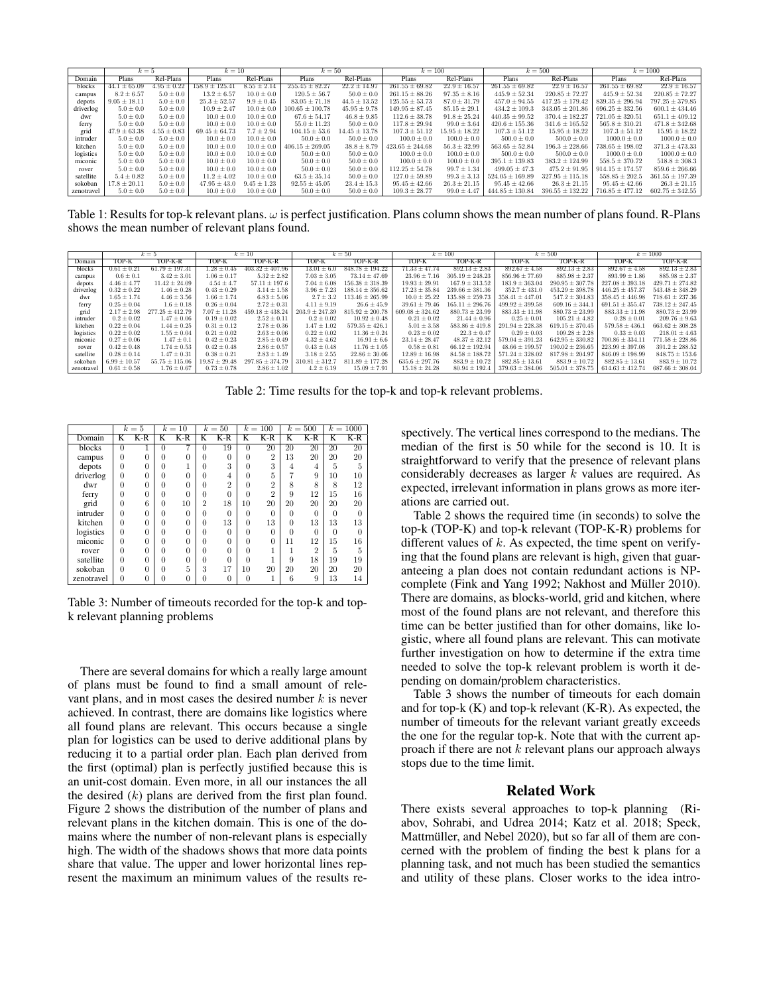|            | $k=5$            |                | $k=10$             |                 | $k=50$              |                   | $k = 100$           |                   |                     | $k = 500$               |                     | $k = 1000$          |
|------------|------------------|----------------|--------------------|-----------------|---------------------|-------------------|---------------------|-------------------|---------------------|-------------------------|---------------------|---------------------|
| Domain     | Plans            | Rel-Plans      | Plans              | Rel-Plans       | Plans               | Rel-Plans         | Plans               | Rel-Plans         | Plans               | Rel-Plans               | Plans               | Rel-Plans           |
| blocks     | $44.1 \pm 65.09$ | $.95 \pm 0.22$ | $158.9 \pm 125.41$ | $8.55 \pm 2.14$ | $255.45 \pm 82.27$  | $22.2 \pm 14.97$  | $261.55 \pm 69.82$  | $22.9 \pm 16.57$  | $261.55 \pm 69.82$  | $\sqrt{22.9 \pm 16.57}$ | $261.55 \pm 69.82$  | $22.9 \pm 16.57$    |
| campus     | $8.2 \pm 6.57$   | $5.0 \pm 0.0$  | $13.2 \pm 6.57$    | $10.0 \pm 0.0$  | $120.5 \pm 56.7$    | $50.0 \pm 0.0$    | $261.15 \pm 88.26$  | $97.35 \pm 8.16$  | $445.9 \pm 52.34$   | $220.85 \pm 72.27$      | $445.9 \pm 52.34$   | $220.85 \pm 72.27$  |
| depots     | $9.05 \pm 18.11$ | $5.0 \pm 0.0$  | $25.3 \pm 52.57$   | $9.9 \pm 0.45$  | $83.05 \pm 71.18$   | $44.5 \pm 13.52$  | $125.55 \pm 53.73$  | $87.0 \pm 31.79$  | $457.0 \pm 94.55$   | $417.25 \pm 179.42$     | $839.35 \pm 296.94$ | $797.25 \pm 379.85$ |
| driverlog  | $5.0 \pm 0.0$    | $5.0 \pm 0.0$  | $10.9 \pm 2.47$    | $10.0 \pm 0.0$  | $100.65 \pm 100.78$ | $45.95 \pm 9.78$  | $149.95 \pm 87.45$  | $85.15 \pm 29.1$  | $434.2 \pm 109.3$   | $343.05 \pm 201.86$     | $696.25 \pm 332.56$ | $600.1 \pm 434.46$  |
| dwr        | $5.0 \pm 0.0$    | $5.0 \pm 0.0$  | $10.0 \pm 0.0$     | $10.0 \pm 0.0$  | $67.6 \pm 54.17$    | $46.8 \pm 9.85$   | $112.6 \pm 38.78$   | $91.8 \pm 25.24$  | $440.35 \pm 99.52$  | $370.4 \pm 182.27$      | $721.05 \pm 320.51$ | $651.1 \pm 409.12$  |
| ferry      | $5.0 \pm 0.0$    | $5.0 \pm 0.0$  | $10.0 \pm 0.0$     | $10.0 \pm 0.0$  | $55.0 \pm 11.23$    | $50.0 \pm 0.0$    | $117.8 \pm 29.94$   | $99.0 \pm 3.64$   | $420.6 \pm 155.36$  | $341.6 \pm 165.52$      | $565.8 \pm 310.21$  | $471.8 \pm 342.68$  |
| grid       | $47.9 \pm 63.38$ | $.55 \pm 0.83$ | $69.45 \pm 64.73$  | $7.7 \pm 2.94$  | $104.15 \pm 53.6$   | $14.45 \pm 13.78$ | $107.3 \pm 51.12$   | $15.95 \pm 18.22$ | $107.3 \pm 51.12$   | $15.95 \pm 18.22$       | $107.3 \pm 51.12$   | $15.95 \pm 18.22$   |
| intruder   | $5.0 \pm 0.0$    | $5.0 \pm 0.0$  | $10.0 \pm 0.0$     | $10.0 \pm 0.0$  | $50.0 \pm 0.0$      | $50.0 \pm 0.0$    | $100.0 \pm 0.0$     | $100.0 \pm 0.0$   | $500.0 \pm 0.0$     | $500.0 \pm 0.0$         | $1000.0 \pm 0.0$    | $1000.0 \pm 0.0$    |
| kitchen    | $5.0 \pm 0.0$    | $5.0 \pm 0.0$  | $10.0 \pm 0.0$     | $10.0 \pm 0.0$  | $406.15 \pm 269.05$ | $38.8 \pm 8.79$   | $423.65 \pm 244.68$ | $56.3 \pm 32.99$  | $563.65 \pm 52.84$  | $196.3 \pm 228.66$      | $738.65 \pm 198.02$ | $371.3 \pm 473.33$  |
| logistics  | $5.0 \pm 0.0$    | $5.0 \pm 0.0$  | $10.0 \pm 0.0$     | $10.0 \pm 0.0$  | $50.0 \pm 0.0$      | $50.0 \pm 0.0$    | $100.0 \pm 0.0$     | $100.0 \pm 0.0$   | $500.0 \pm 0.0$     | $500.0 \pm 0.0$         | $1000.0 \pm 0.0$    | $1000.0 \pm 0.0$    |
| miconic    | $5.0 \pm 0.0$    | $5.0 \pm 0.0$  | $10.0 \pm 0.0$     | $10.0 \pm 0.0$  | $50.0 \pm 0.0$      | $50.0 \pm 0.0$    | $100.0 \pm 0.0$     | $100.0 \pm 0.0$   | $395.1 \pm 139.83$  | $383.2 \pm 124.99$      | $558.5 \pm 370.72$  | $518.8 \pm 308.3$   |
| rover      | $5.0 \pm 0.0$    | $5.0 \pm 0.0$  | $10.0 \pm 0.0$     | $10.0 \pm 0.0$  | $50.0 \pm 0.0$      | $50.0 \pm 0.0$    | $112.25 \pm 54.78$  | $99.7 \pm 1.34$   | $499.05 \pm 47.3$   | $475.2 \pm 91.95$       | $914.15 \pm 174.57$ | $859.6 \pm 266.66$  |
| satellite  | $5.4 \pm 0.82$   | $5.0 \pm 0.0$  | $11.2 \pm 4.02$    | $10.0 \pm 0.0$  | $63.5 \pm 35.14$    | $50.0 \pm 0.0$    | $127.0 \pm 59.89$   | $99.3 \pm 3.13$   | $524.05 \pm 169.89$ | $327.95 \pm 115.18$     | $558.85 \pm 202.5$  | $361.55 \pm 197.39$ |
| sokoban    | $17.8 \pm 20.11$ | $5.0 \pm 0.0$  | $47.95 \pm 43.0$   | $9.45 \pm 1.23$ | $92.55 \pm 45.05$   | $23.4 \pm 15.3$   | $95.45 \pm 42.66$   | $26.3 \pm 21.15$  | $95.45 \pm 42.66$   | $26.3 \pm 21.15$        | $95.45 \pm 42.66$   | $26.3 \pm 21.15$    |
| zenotravel | $5.0 \pm 0.0$    | $5.0 \pm 0.0$  | $10.0 \pm 0.0$     | $10.0 \pm 0.0$  | $50.0 \pm 0.0$      | $50.0 \pm 0.0$    | $109.3 \pm 28.77$   | $99.0 \pm 4.47$   | $444.85 \pm 130.84$ | $396.55 \pm 132.22$     | $716.85 \pm 477.12$ | $602.75 \pm 342.55$ |

Table 1: Results for top-k relevant plans.  $\omega$  is perfect justification. Plans column shows the mean number of plans found. R-Plans shows the mean number of relevant plans found.

|            |                  | $k=10$<br>$k=5$     |                   | $k=50$              |                    | $k = 100$           |                     | $k = 500$           |                     | $k = 1000$          |                     |                     |
|------------|------------------|---------------------|-------------------|---------------------|--------------------|---------------------|---------------------|---------------------|---------------------|---------------------|---------------------|---------------------|
|            |                  | TOP-K-R             | TOP-K             | TOP-K-R             | TOP-K              | TOP-K-R             | TOP-K               | TOP-K-R             | TOP-K-R<br>TOP-K    |                     | TOP-K               | TOP-K-R             |
| Domain     | TOP-K            |                     |                   |                     |                    |                     |                     |                     |                     |                     |                     |                     |
| blocks     | $0.61 \pm 0.21$  | $61.79 \pm 197.31$  | $1.28\pm0.45$     | $403.32 \pm 407.96$ | $13.01 \pm 6.0$    | $848.78 \pm 194.22$ | $71.33 \pm 47.74$   | $892.13 \pm 2.83$   | $892.67 \pm 4.58$   | $892.13 \pm 2.83$   | $892.67 \pm 4.58$   | $892.13 \pm 2.83$   |
| campus     | $0.6 \pm 0.1$    | $3.42 \pm 3.01$     | $1.06 \pm 0.17$   | $5.32 \pm 2.82$     | $7.03 \pm 3.05$    | $73.14 \pm 47.69$   | $23.96 \pm 7.16$    | $305.19 \pm 248.23$ | $856.96 \pm 77.69$  | $885.98 \pm 2.37$   | $893.99 \pm 1.86$   | $885.98 \pm 2.37$   |
| depots     | $4.46 \pm 4.77$  | $11.42 \pm 24.09$   | $4.54 \pm 4.7$    | $57.11 \pm 197.6$   | $7.04 \pm 6.08$    | $156.38 \pm 318.39$ | $19.93 \pm 29.91$   | $167.9 \pm 313.52$  | $183.9 \pm 363.04$  | $290.95 \pm 307.78$ | $227.08 \pm 393.18$ | $429.71 \pm 274.82$ |
| driverlog  | $0.32 \pm 0.22$  | $1.46 \pm 0.28$     | $0.43 \pm 0.29$   | $3.14 \pm 1.58$     | $3.96 \pm 7.23$    | $188.14 \pm 356.62$ | $17.23 \pm 35.84$   | $239.66 \pm 381.36$ | $352.7 \pm 431.0$   | $453.29 \pm 398.78$ | $446.25 \pm 457.37$ | $543.48 \pm 348.29$ |
| dwr        | $1.65 \pm 1.74$  | $4.46 \pm 3.56$     | $1.66 \pm 1.74$   | $6.83 \pm 5.06$     | $2.7 \pm 3.2$      | $113.46 \pm 265.99$ | $10.0 \pm 25.22$    | $135.88 \pm 259.73$ | $358.41 \pm 447.01$ | $547.2 \pm 304.83$  | $358.45 \pm 446.98$ | $718.61 \pm 237.36$ |
| ferry      | $0.25 \pm 0.04$  | $1.6 \pm 0.18$      | $0.26 \pm 0.04$   | $2.72 \pm 0.31$     | $4.11 \pm 9.19$    | $26.6 \pm 45.9$     | $39.61 \pm 79.46$   | $165.11 \pm 296.76$ | $499.92 \pm 399.58$ | $609.16 \pm 344.$   | $691.51 \pm 355.47$ | $738.12 \pm 247.45$ |
| grid       | $2.17 \pm 2.98$  | $277.25 \pm 412.79$ | $7.07 \pm 11.28$  | $459.18 \pm 438.24$ | $203.9 \pm 247.39$ | $815.92 \pm 200.78$ | $609.08 \pm 324.62$ | $880.73 \pm 23.99$  | $883.33 \pm 11.98$  | $880.73 \pm 23.99$  | $883.33 \pm 11.98$  | $880.73 \pm 23.99$  |
| intruder   | $0.2 \pm 0.02$   | $1.47 \pm 0.06$     | $0.19 \pm 0.02$   | $2.52 \pm 0.11$     | $0.2 \pm 0.02$     | $10.92 \pm 0.48$    | $0.21 \pm 0.02$     | $21.44 \pm 0.96$    | $0.25 \pm 0.01$     | $105.21 \pm 4.82$   | $0.28 \pm 0.01$     | $209.76 \pm 9.63$   |
| kitchen    | $0.22 \pm 0.04$  | $1.44 \pm 0.25$     | $0.31 \pm 0.12$   | $2.78 \pm 0.36$     | $1.47 \pm 1.02$    | $579.35 \pm 426.1$  | $5.01 \pm 3.58$     | $583.86 \pm 419.8$  | $291.94 \pm 228.38$ | $619.15 \pm 370.45$ | $579.58 \pm 436.1$  | $663.62 \pm 308.28$ |
| logistics  | $0.22 \pm 0.02$  | $1.55 \pm 0.04$     | $0.21 \pm 0.02$   | $2.63 \pm 0.06$     | $0.22 \pm 0.02$    | $11.36 \pm 0.24$    | $0.23 \pm 0.02$     | $22.3 \pm 0.47$     | $0.29 \pm 0.03$     | $109.28 \pm 2.28$   | $0.33 \pm 0.03$     | $218.01 \pm 4.63$   |
| miconic    | $0.27 \pm 0.06$  | $1.47 \pm 0.1$      | $0.42 \pm 0.23$   | $2.85 \pm 0.49$     | $4.32 \pm 4.62$    | $16.91 \pm 6.6$     | $23.14 \pm 28.47$   | $48.37 \pm 32.12$   | $579.04 \pm 391.23$ | $642.95 \pm 330.82$ | $700.86 \pm 334.1$  | $771.58 \pm 228.86$ |
| rover      | $0.42 \pm 0.48$  | $1.74 \pm 0.53$     | $0.42 \pm 0.48$   | $2.86 \pm 0.57$     | $0.43 \pm 0.48$    | $11.76 \pm 1.05$    | $0.58 \pm 0.81$     | $66.12 \pm 192.94$  | $48.66 \pm 199.57$  | $190.02 \pm 236.65$ | $223.99 \pm 397.08$ | $391.2 \pm 288.52$  |
| satellite  | $0.28 \pm 0.14$  | $1.47 \pm 0.31$     | $0.38 \pm 0.21$   | $2.83 \pm 1.49$     | $3.18 \pm 2.55$    | $22.86 \pm 30.06$   | $12.89 \pm 16.98$   | $84.58 \pm 188.72$  | $571.24 \pm 328.02$ | $817.98 \pm 204.97$ | $846.09 \pm 198.99$ | $848.75 \pm 153.6$  |
| sokoban    | $6.99 \pm 10.57$ | $55.75 \pm 115.06$  | $19.87 \pm 29.48$ | $297.85 \pm 374.79$ | $310.81 \pm 312.7$ | $811.89 \pm 177.28$ | $635.6 \pm 297.76$  | $883.9 \pm 10.72$   | $882.85 \pm 13.61$  | $883.9 \pm 10.72$   | $882.85 \pm 13.61$  | $883.9 \pm 10.72$   |
| zenotravel | $0.61 \pm 0.58$  | $1.76 \pm 0.67$     | $0.73 \pm 0.78$   | $2.86 \pm 1.02$     | $4.2 \pm 6.19$     | $15.09 \pm 7.91$    | $15.18 \pm 24.28$   | $80.94 \pm 192.4$   | $379.63 \pm 384.06$ | $505.01 \pm 378.75$ | $614.63 \pm 412.74$ | $687.66 \pm 308.04$ |

Table 2: Time results for the top-k and top-k relevant problems.

|            | $k=5$    |                |          | $k=10$   | $k=50$         |                | $k=100$  |                | $k = 500$ |                | $k = 1000$ |       |
|------------|----------|----------------|----------|----------|----------------|----------------|----------|----------------|-----------|----------------|------------|-------|
| Domain     | K        | $K-R$          | K        | $K-R$    | K              | $K-R$          | K        | $K-R$          | K         | $K-R$          | K          | $K-R$ |
| blocks     | $\Omega$ |                | $\theta$ |          | 0              | 19             | $\Omega$ | 20             | 20        | 20             | 20         | 20    |
| campus     | $\Omega$ | $\overline{0}$ | $\Omega$ | $\theta$ | 0              | $\Omega$       | $\Omega$ | $\overline{2}$ | 13        | 20             | 20         | 20    |
| depots     | $\Omega$ | $\Omega$       | $\Omega$ |          | $\Omega$       | 3              | 0        | 3              | 4         | 4              | 5          | 5     |
| driverlog  | $\Omega$ | $\Omega$       | $\Omega$ | $\theta$ | $\theta$       | 4              | 0        | 5              |           | 9              | 10         | 10    |
| dwr        | $\Omega$ | $\overline{0}$ | $\Omega$ | $\Omega$ | $\theta$       | $\overline{2}$ | $\Omega$ | $\overline{2}$ | 8         | 8              | 8          | 12    |
| ferry      | $\Omega$ | $\overline{0}$ | $\Omega$ | $\Omega$ | $\theta$       | 0              | $\Omega$ | $\overline{2}$ | 9         | 12             | 15         | 16    |
| grid       | $\Omega$ | 6              | 0        | 10       | $\overline{2}$ | 18             | 10       | 20             | 20        | 20             | 20         | 20    |
| intruder   | $\Omega$ | $\overline{0}$ | $\Omega$ | $\theta$ | $\theta$       | $\theta$       | $\Omega$ | $\Omega$       | $\Omega$  | 0              | $\Omega$   | 0     |
| kitchen    | $\Omega$ | $\overline{0}$ | $\Omega$ | $\theta$ | $\theta$       | 13             | $\Omega$ | 13             | $\theta$  | 13             | 13         | 13    |
| logistics  | $\theta$ | $\theta$       | $\Omega$ | $\theta$ | $\Omega$       | $\Omega$       | $\Omega$ | $\Omega$       | $\Omega$  | $\Omega$       | $\Omega$   | 0     |
| miconic    | $\Omega$ | $\theta$       | $\Omega$ | $\Omega$ | $\theta$       | $\theta$       | 0        | 0              | 11        | 12             | 15         | 16    |
| rover      | $\Omega$ | $\overline{0}$ | $\Omega$ | $\theta$ | $\theta$       | $\Omega$       | $\Omega$ |                |           | $\overline{2}$ | 5          | 5     |
| satellite  | $\Omega$ | 0              | $\Omega$ | $\theta$ | $\Omega$       | $\Omega$       | $\Omega$ |                | 9         | 18             | 19         | 19    |
| sokoban    | $\Omega$ | $\overline{0}$ | 0        | 5        | 3              | 17             | 10       | 20             | 20        | 20             | 20         | 20    |
| zenotravel | $\Omega$ | $\Omega$       | 0        | $\theta$ | $\overline{0}$ | $\theta$       | $\Omega$ |                | 6         | 9              | 13         | 14    |

Table 3: Number of timeouts recorded for the top-k and topk relevant planning problems

There are several domains for which a really large amount of plans must be found to find a small amount of relevant plans, and in most cases the desired number  $k$  is never achieved. In contrast, there are domains like logistics where all found plans are relevant. This occurs because a single plan for logistics can be used to derive additional plans by reducing it to a partial order plan. Each plan derived from the first (optimal) plan is perfectly justified because this is an unit-cost domain. Even more, in all our instances the all the desired  $(k)$  plans are derived from the first plan found. Figure 2 shows the distribution of the number of plans and relevant plans in the kitchen domain. This is one of the domains where the number of non-relevant plans is especially high. The width of the shadows shows that more data points share that value. The upper and lower horizontal lines represent the maximum an minimum values of the results respectively. The vertical lines correspond to the medians. The median of the first is 50 while for the second is 10. It is straightforward to verify that the presence of relevant plans considerably decreases as larger k values are required. As expected, irrelevant information in plans grows as more iterations are carried out.

Table 2 shows the required time (in seconds) to solve the top-k (TOP-K) and top-k relevant (TOP-K-R) problems for different values of  $k$ . As expected, the time spent on verifying that the found plans are relevant is high, given that guaranteeing a plan does not contain redundant actions is NPcomplete (Fink and Yang 1992; Nakhost and Müller 2010). There are domains, as blocks-world, grid and kitchen, where most of the found plans are not relevant, and therefore this time can be better justified than for other domains, like logistic, where all found plans are relevant. This can motivate further investigation on how to determine if the extra time needed to solve the top-k relevant problem is worth it depending on domain/problem characteristics.

Table 3 shows the number of timeouts for each domain and for top- $k(K)$  and top- $k$  relevant  $(K-R)$ . As expected, the number of timeouts for the relevant variant greatly exceeds the one for the regular top-k. Note that with the current approach if there are not  $k$  relevant plans our approach always stops due to the time limit.

## Related Work

There exists several approaches to top-k planning (Riabov, Sohrabi, and Udrea 2014; Katz et al. 2018; Speck, Mattmüller, and Nebel 2020), but so far all of them are concerned with the problem of finding the best k plans for a planning task, and not much has been studied the semantics and utility of these plans. Closer works to the idea intro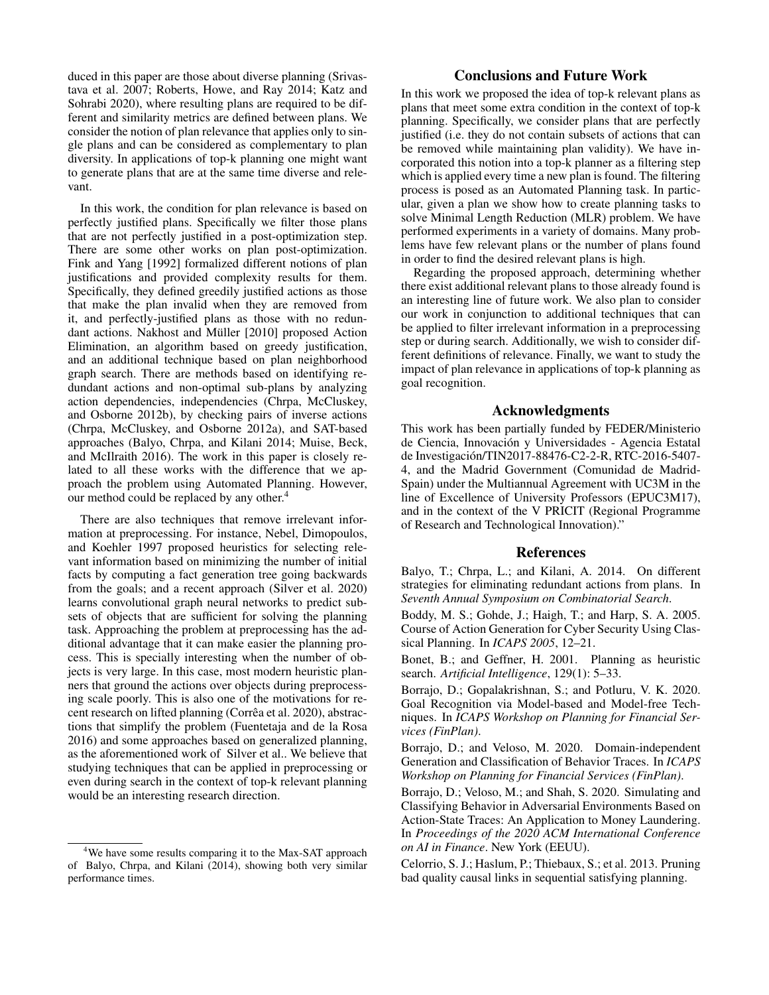duced in this paper are those about diverse planning (Srivastava et al. 2007; Roberts, Howe, and Ray 2014; Katz and Sohrabi 2020), where resulting plans are required to be different and similarity metrics are defined between plans. We consider the notion of plan relevance that applies only to single plans and can be considered as complementary to plan diversity. In applications of top-k planning one might want to generate plans that are at the same time diverse and relevant.

In this work, the condition for plan relevance is based on perfectly justified plans. Specifically we filter those plans that are not perfectly justified in a post-optimization step. There are some other works on plan post-optimization. Fink and Yang [1992] formalized different notions of plan justifications and provided complexity results for them. Specifically, they defined greedily justified actions as those that make the plan invalid when they are removed from it, and perfectly-justified plans as those with no redundant actions. Nakhost and Müller [2010] proposed Action Elimination, an algorithm based on greedy justification, and an additional technique based on plan neighborhood graph search. There are methods based on identifying redundant actions and non-optimal sub-plans by analyzing action dependencies, independencies (Chrpa, McCluskey, and Osborne 2012b), by checking pairs of inverse actions (Chrpa, McCluskey, and Osborne 2012a), and SAT-based approaches (Balyo, Chrpa, and Kilani 2014; Muise, Beck, and McIlraith 2016). The work in this paper is closely related to all these works with the difference that we approach the problem using Automated Planning. However, our method could be replaced by any other.<sup>4</sup>

There are also techniques that remove irrelevant information at preprocessing. For instance, Nebel, Dimopoulos, and Koehler 1997 proposed heuristics for selecting relevant information based on minimizing the number of initial facts by computing a fact generation tree going backwards from the goals; and a recent approach (Silver et al. 2020) learns convolutional graph neural networks to predict subsets of objects that are sufficient for solving the planning task. Approaching the problem at preprocessing has the additional advantage that it can make easier the planning process. This is specially interesting when the number of objects is very large. In this case, most modern heuristic planners that ground the actions over objects during preprocessing scale poorly. This is also one of the motivations for recent research on lifted planning (Corrêa et al. 2020), abstractions that simplify the problem (Fuentetaja and de la Rosa 2016) and some approaches based on generalized planning, as the aforementioned work of Silver et al.. We believe that studying techniques that can be applied in preprocessing or even during search in the context of top-k relevant planning would be an interesting research direction.

## Conclusions and Future Work

In this work we proposed the idea of top-k relevant plans as plans that meet some extra condition in the context of top-k planning. Specifically, we consider plans that are perfectly justified (i.e. they do not contain subsets of actions that can be removed while maintaining plan validity). We have incorporated this notion into a top-k planner as a filtering step which is applied every time a new plan is found. The filtering process is posed as an Automated Planning task. In particular, given a plan we show how to create planning tasks to solve Minimal Length Reduction (MLR) problem. We have performed experiments in a variety of domains. Many problems have few relevant plans or the number of plans found in order to find the desired relevant plans is high.

Regarding the proposed approach, determining whether there exist additional relevant plans to those already found is an interesting line of future work. We also plan to consider our work in conjunction to additional techniques that can be applied to filter irrelevant information in a preprocessing step or during search. Additionally, we wish to consider different definitions of relevance. Finally, we want to study the impact of plan relevance in applications of top-k planning as goal recognition.

### Acknowledgments

This work has been partially funded by FEDER/Ministerio de Ciencia, Innovación y Universidades - Agencia Estatal de Investigacion/TIN2017-88476-C2-2-R, RTC-2016-5407- ´ 4, and the Madrid Government (Comunidad de Madrid-Spain) under the Multiannual Agreement with UC3M in the line of Excellence of University Professors (EPUC3M17), and in the context of the V PRICIT (Regional Programme of Research and Technological Innovation)."

### References

Balyo, T.; Chrpa, L.; and Kilani, A. 2014. On different strategies for eliminating redundant actions from plans. In *Seventh Annual Symposium on Combinatorial Search*.

Boddy, M. S.; Gohde, J.; Haigh, T.; and Harp, S. A. 2005. Course of Action Generation for Cyber Security Using Classical Planning. In *ICAPS 2005*, 12–21.

Bonet, B.; and Geffner, H. 2001. Planning as heuristic search. *Artificial Intelligence*, 129(1): 5–33.

Borrajo, D.; Gopalakrishnan, S.; and Potluru, V. K. 2020. Goal Recognition via Model-based and Model-free Techniques. In *ICAPS Workshop on Planning for Financial Services (FinPlan)*.

Borrajo, D.; and Veloso, M. 2020. Domain-independent Generation and Classification of Behavior Traces. In *ICAPS Workshop on Planning for Financial Services (FinPlan)*.

Borrajo, D.; Veloso, M.; and Shah, S. 2020. Simulating and Classifying Behavior in Adversarial Environments Based on Action-State Traces: An Application to Money Laundering. In *Proceedings of the 2020 ACM International Conference on AI in Finance*. New York (EEUU).

Celorrio, S. J.; Haslum, P.; Thiebaux, S.; et al. 2013. Pruning bad quality causal links in sequential satisfying planning.

<sup>&</sup>lt;sup>4</sup>We have some results comparing it to the Max-SAT approach of Balyo, Chrpa, and Kilani (2014), showing both very similar performance times.